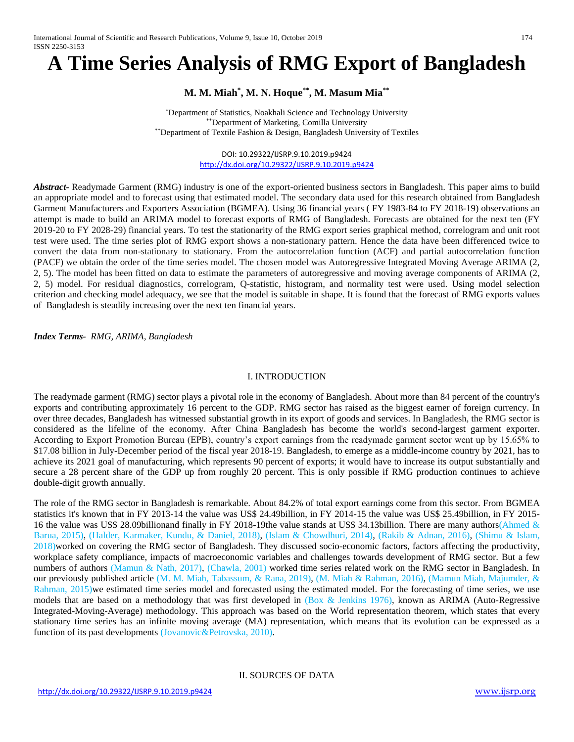# **A Time Series Analysis of RMG Export of Bangladesh**

# **M. M. Miah\* , M. N. Hoque\*\*, M. Masum Mia\*\***

\*Department of Statistics, Noakhali Science and Technology University \*\*Department of Marketing, Comilla University \*\*Department of Textile Fashion & Design, Bangladesh University of Textiles

# DOI: 10.29322/IJSRP.9.10.2019.p9424 <http://dx.doi.org/10.29322/IJSRP.9.10.2019.p9424>

*Abstract-* Readymade Garment (RMG) industry is one of the export-oriented business sectors in Bangladesh. This paper aims to build an appropriate model and to forecast using that estimated model. The secondary data used for this research obtained from Bangladesh Garment Manufacturers and Exporters Association (BGMEA). Using 36 financial years ( FY 1983-84 to FY 2018-19) observations an attempt is made to build an ARIMA model to forecast exports of RMG of Bangladesh. Forecasts are obtained for the next ten (FY 2019-20 to FY 2028-29) financial years. To test the stationarity of the RMG export series graphical method, correlogram and unit root test were used. The time series plot of RMG export shows a non-stationary pattern. Hence the data have been differenced twice to convert the data from non-stationary to stationary. From the autocorrelation function (ACF) and partial autocorrelation function (PACF) we obtain the order of the time series model. The chosen model was Autoregressive Integrated Moving Average ARIMA (2, 2, 5). The model has been fitted on data to estimate the parameters of autoregressive and moving average components of ARIMA (2, 2, 5) model. For residual diagnostics, correlogram, Q-statistic, histogram, and normality test were used. Using model selection criterion and checking model adequacy, we see that the model is suitable in shape. It is found that the forecast of RMG exports values of Bangladesh is steadily increasing over the next ten financial years.

*Index Terms- RMG, ARIMA, Bangladesh*

# I. INTRODUCTION

The readymade garment (RMG) sector plays a pivotal role in the economy of Bangladesh. About more than 84 percent of the country's exports and contributing approximately 16 percent to the GDP. RMG sector has raised as the biggest earner of foreign currency. In over three decades, Bangladesh has witnessed substantial growth in its export of goods and services. In Bangladesh, the RMG sector is considered as the lifeline of the economy. After China Bangladesh has become the world's second-largest garment exporter. According to Export Promotion Bureau (EPB), country's export earnings from the readymade garment sector went up by 15.65% to \$17.08 billion in July-December period of the fiscal year 2018-19. Bangladesh, to emerge as a middle-income country by 2021, has to achieve its 2021 goal of manufacturing, which represents 90 percent of exports; it would have to increase its output substantially and secure a 28 percent share of the GDP up from roughly 20 percent. This is only possible if RMG production continues to achieve double-digit growth annually.

The role of the RMG sector in Bangladesh is remarkable. About 84.2% of total export earnings come from this sector. From BGMEA statistics it's known that in FY 2013-14 the value was US\$ 24.49billion, in FY 2014-15 the value was US\$ 25.49billion, in FY 2015- 16 the value was US\$ 28.09billionand finally in FY 2018-19the value stands at US\$ 34.13billion. There are many authors(Ahmed  $\&$ Barua, 2015), (Halder, Karmaker, Kundu, & Daniel, 2018), (Islam & Chowdhuri, 2014), (Rakib & Adnan, 2016), (Shimu & Islam, 2018)worked on covering the RMG sector of Bangladesh. They discussed socio-economic factors, factors affecting the productivity, workplace safety compliance, impacts of macroeconomic variables and challenges towards development of RMG sector. But a few numbers of authors (Mamun & Nath, 2017), (Chawla, 2001) worked time series related work on the RMG sector in Bangladesh. In our previously published article (M. M. Miah, Tabassum, & Rana, 2019), (M. Miah & Rahman, 2016), (Mamun Miah, Majumder, & Rahman, 2015)we estimated time series model and forecasted using the estimated model. For the forecasting of time series, we use models that are based on a methodology that was first developed in (Box & Jenkins 1976), known as ARIMA (Auto-Regressive Integrated-Moving-Average) methodology. This approach was based on the World representation theorem, which states that every stationary time series has an infinite moving average (MA) representation, which means that its evolution can be expressed as a function of its past developments (Jovanovic&Petrovska, 2010).

II. SOURCES OF DATA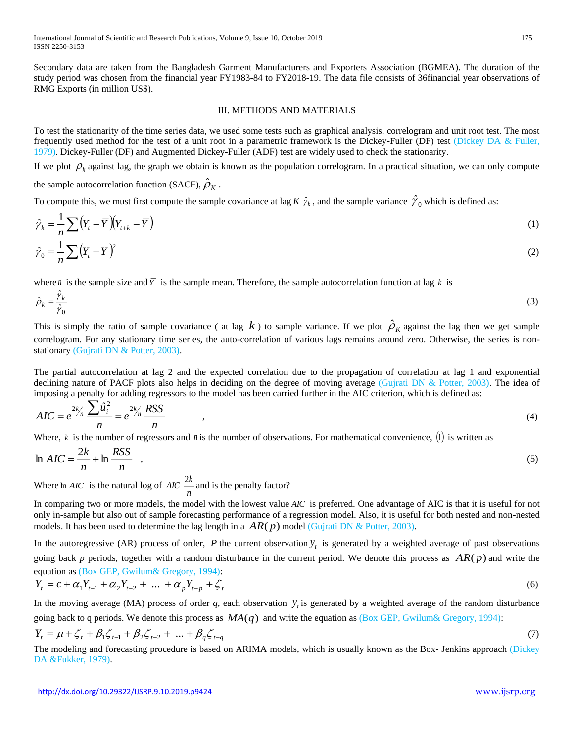Secondary data are taken from the Bangladesh Garment Manufacturers and Exporters Association (BGMEA). The duration of the study period was chosen from the financial year FY1983-84 to FY2018-19. The data file consists of 36financial year observations of RMG Exports (in million US\$).

#### III. METHODS AND MATERIALS

To test the stationarity of the time series data, we used some tests such as graphical analysis, correlogram and unit root test. The most frequently used method for the test of a unit root in a parametric framework is the Dickey-Fuller (DF) test (Dickey DA & Fuller, 1979). Dickey-Fuller (DF) and Augmented Dickey-Fuller (ADF) test are widely used to check the stationarity.

If we plot  $\rho_k$  against lag, the graph we obtain is known as the population correlogram. In a practical situation, we can only compute

the sample autocorrelation function (SACF),  $\hat{\rho}_{\scriptscriptstyle{K}}$  .

ˆ

To compute this, we must first compute the sample covariance at lag  $K \hat{\gamma}_k$ , and the sample variance  $\hat{\gamma}_0$  which is defined as:

$$
\hat{\gamma}_k = \frac{1}{n} \sum \left( Y_t - \overline{Y} \right) \left( Y_{t+k} - \overline{Y} \right) \tag{1}
$$
\n
$$
\hat{\gamma}_0 = \frac{1}{n} \sum \left( Y_t - \overline{Y} \right)^2 \tag{2}
$$

where *n* is the sample size and  $\overline{Y}$  is the sample mean. Therefore, the sample autocorrelation function at lag k is

$$
\hat{\rho}_k = \frac{\gamma_k}{\hat{\gamma}_0} \tag{3}
$$

This is simply the ratio of sample covariance (at lag  $k$ ) to sample variance. If we plot  $\rho_k$  against the lag then we get sample correlogram. For any stationary time series, the auto-correlation of various lags remains around zero. Otherwise, the series is nonstationary (Gujrati DN & Potter, 2003).

The partial autocorrelation at lag 2 and the expected correlation due to the propagation of correlation at lag 1 and exponential declining nature of PACF plots also helps in deciding on the degree of moving average (Gujrati DN & Potter, 2003). The idea of imposing a penalty for adding regressors to the model has been carried further in the AIC criterion, which is defined as:

$$
AIC = e^{2k/n} \frac{\sum \hat{u}_i^2}{n} = e^{2k/n} \frac{RSS}{n}
$$
 (4)

Where,  $k$  is the number of regressors and  $n$  is the number of observations. For mathematical convenience, (1) is written as

$$
\ln AIC = \frac{2k}{n} + \ln \frac{RSS}{n} \quad , \tag{5}
$$

Where  $\ln AIC$  is the natural log of  $AIC = \frac{2R}{n}$  $\frac{2k}{2}$  and is the penalty factor?

In comparing two or more models, the model with the lowest value *AIC* is preferred. One advantage of AIC is that it is useful for not only in-sample but also out of sample forecasting performance of a regression model. Also, it is useful for both nested and non-nested models. It has been used to determine the lag length in a  $AR(p)$  model (Gujrati DN & Potter, 2003).

In the autoregressive (AR) process of order, P the current observation  $y_t$  is generated by a weighted average of past observations going back p periods, together with a random disturbance in the current period. We denote this process as  $AR(p)$  and write the equation as (Box GEP, Gwilum& Gregory, 1994):

$$
Y_{t} = c + \alpha_{1} Y_{t-1} + \alpha_{2} Y_{t-2} + \dots + \alpha_{p} Y_{t-p} + \zeta_{t}
$$
\n(6)

In the moving average (MA) process of order q, each observation  $y<sub>i</sub>$  is generated by a weighted average of the random disturbance going back to q periods. We denote this process as  $MA(q)$  and write the equation as (Box GEP, Gwilum& Gregory, 1994):

$$
Y_{t} = \mu + \zeta_{t} + \beta_{1}\zeta_{t-1} + \beta_{2}\zeta_{t-2} + \dots + \beta_{q}\zeta_{t-q}
$$
\n(7)

The modeling and forecasting procedure is based on ARIMA models, which is usually known as the Box- Jenkins approach (Dickey DA &Fukker, 1979).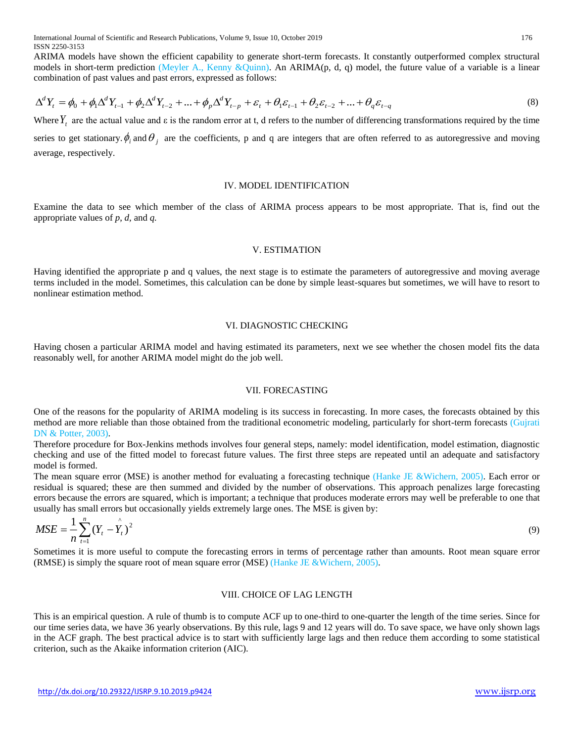ARIMA models have shown the efficient capability to generate short-term forecasts. It constantly outperformed complex structural models in short-term prediction (Meyler A., Kenny &Quinn). An ARIMA(p, d, q) model, the future value of a variable is a linear combination of past values and past errors, expressed as follows:

$$
\Delta^{d} Y_{t} = \phi_{0} + \phi_{1} \Delta^{d} Y_{t-1} + \phi_{2} \Delta^{d} Y_{t-2} + ... + \phi_{p} \Delta^{d} Y_{t-p} + \varepsilon_{t} + \theta_{1} \varepsilon_{t-1} + \theta_{2} \varepsilon_{t-2} + ... + \theta_{q} \varepsilon_{t-q}
$$
\n(8)

Where  $Y_t$  are the actual value and  $\varepsilon$  is the random error at t, d refers to the number of differencing transformations required by the time series to get stationary.  $\phi_i$  and  $\theta_j$  are the coefficients, p and q are integers that are often referred to as autoregressive and moving average, respectively.

#### IV. MODEL IDENTIFICATION

Examine the data to see which member of the class of ARIMA process appears to be most appropriate. That is, find out the appropriate values of *p*, *d,* and *q.*

#### V. ESTIMATION

Having identified the appropriate p and q values, the next stage is to estimate the parameters of autoregressive and moving average terms included in the model. Sometimes, this calculation can be done by simple least-squares but sometimes, we will have to resort to nonlinear estimation method.

### VI. DIAGNOSTIC CHECKING

Having chosen a particular ARIMA model and having estimated its parameters, next we see whether the chosen model fits the data reasonably well, for another ARIMA model might do the job well.

#### VII. FORECASTING

One of the reasons for the popularity of ARIMA modeling is its success in forecasting. In more cases, the forecasts obtained by this method are more reliable than those obtained from the traditional econometric modeling, particularly for short-term forecasts (Gujrati DN & Potter, 2003).

Therefore procedure for Box-Jenkins methods involves four general steps, namely: model identification, model estimation, diagnostic checking and use of the fitted model to forecast future values. The first three steps are repeated until an adequate and satisfactory model is formed.

The mean square error (MSE) is another method for evaluating a forecasting technique (Hanke JE &Wichern, 2005). Each error or residual is squared; these are then summed and divided by the number of observations. This approach penalizes large forecasting errors because the errors are squared, which is important; a technique that produces moderate errors may well be preferable to one that usually has small errors but occasionally yields extremely large ones. The MSE is given by:

$$
MSE = \frac{1}{n} \sum_{t=1}^{n} (Y_t - \hat{Y}_t)^2
$$
 (9)

Sometimes it is more useful to compute the forecasting errors in terms of percentage rather than amounts. Root mean square error (RMSE) is simply the square root of mean square error (MSE) (Hanke JE &Wichern, 2005).

#### VIII. CHOICE OF LAG LENGTH

This is an empirical question. A rule of thumb is to compute ACF up to one-third to one-quarter the length of the time series. Since for our time series data, we have 36 yearly observations. By this rule, lags 9 and 12 years will do. To save space, we have only shown lags in the ACF graph. The best practical advice is to start with sufficiently large lags and then reduce them according to some statistical criterion, such as the Akaike information criterion (AIC).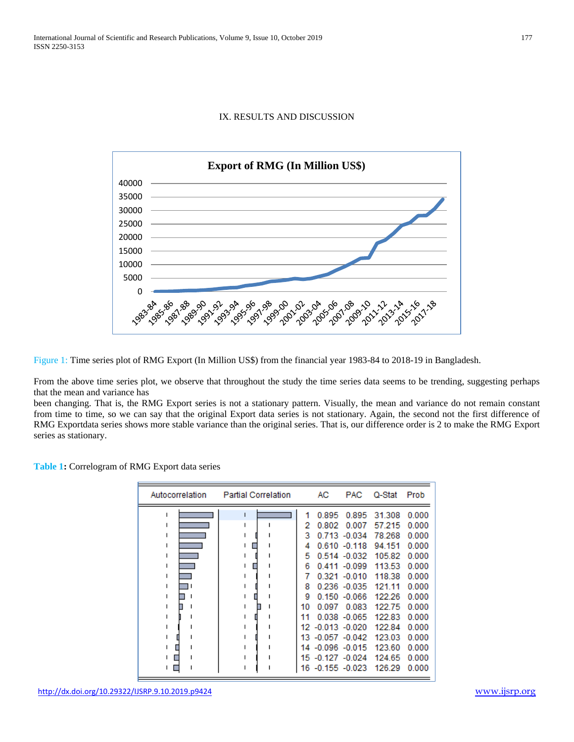# IX. RESULTS AND DISCUSSION



Figure 1: Time series plot of RMG Export (In Million US\$) from the financial year 1983-84 to 2018-19 in Bangladesh.

From the above time series plot, we observe that throughout the study the time series data seems to be trending, suggesting perhaps that the mean and variance has

been changing. That is, the RMG Export series is not a stationary pattern. Visually, the mean and variance do not remain constant from time to time, so we can say that the original Export data series is not stationary. Again, the second not the first difference of RMG Exportdata series shows more stable variance than the original series. That is, our difference order is 2 to make the RMG Export series as stationary.

**Table 1:** Correlogram of RMG Export data series

| Autocorrelation | <b>Partial Correlation</b> |    | АC               | PAC.            | Q-Stat | Prob  |
|-----------------|----------------------------|----|------------------|-----------------|--------|-------|
|                 | ı                          | 1  | 0.895            | 0.895           | 31.308 | 0.000 |
|                 |                            | 2  | 0.802            | 0.007           | 57.215 | 0.000 |
|                 |                            | з  |                  | $0.713 - 0.034$ | 78.268 | 0.000 |
|                 |                            | 4  |                  | $0.610 - 0.118$ | 94 151 | 0.000 |
|                 |                            | 5  |                  | $0.514 - 0.032$ | 105.82 | 0.000 |
|                 |                            | 6  |                  | $0.411 - 0.099$ | 113.53 | 0.000 |
|                 |                            | 7  |                  | $0.321 - 0.010$ | 118.38 | 0.000 |
|                 |                            | 8  |                  | $0.236 - 0.035$ | 121.11 | 0.000 |
|                 |                            | 9  |                  | $0.150 - 0.066$ | 122.26 | 0.000 |
|                 |                            | 10 | 0.097            | 0.083           | 122.75 | 0.000 |
|                 |                            | 11 |                  | $0.038 - 0.065$ | 122.83 | 0.000 |
|                 |                            |    | 12 -0.013 -0.020 |                 | 122.84 | 0.000 |
|                 |                            |    | 13 -0.057 -0.042 |                 | 123.03 | 0.000 |
|                 |                            |    | 14 -0.096 -0.015 |                 | 123.60 | 0.000 |
|                 |                            | 15 | $-0.127 - 0.024$ |                 | 124.65 | 0.000 |
|                 |                            | 16 | $-0.155 - 0.023$ |                 | 126.29 | 0.000 |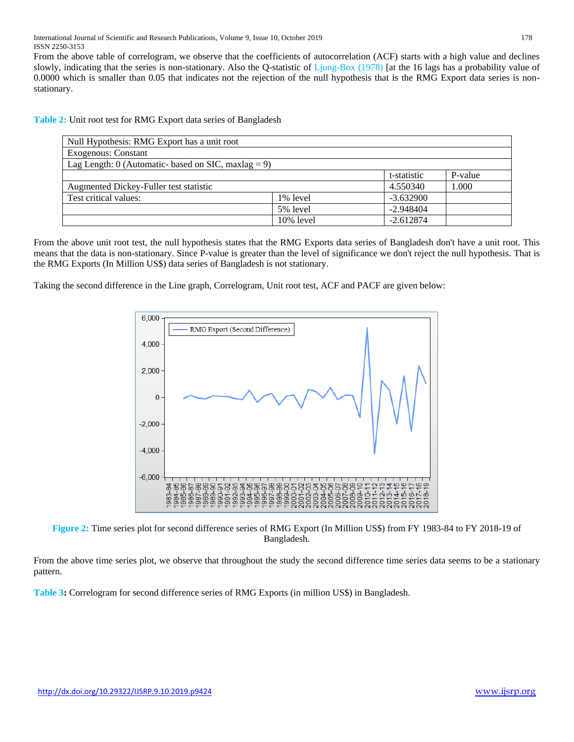From the above table of correlogram, we observe that the coefficients of autocorrelation (ACF) starts with a high value and declines slowly, indicating that the series is non-stationary. Also the Q-statistic of Ljung-Box (1978) [at the 16 lags has a probability value of 0.0000 which is smaller than 0.05 that indicates not the rejection of the null hypothesis that is the RMG Export data series is nonstationary.

**Table 2:** Unit root test for RMG Export data series of Bangladesh

| Null Hypothesis: RMG Export has a unit root           |          |             |         |  |  |  |
|-------------------------------------------------------|----------|-------------|---------|--|--|--|
| <b>Exogenous: Constant</b>                            |          |             |         |  |  |  |
| Lag Length: $0$ (Automatic- based on SIC, maxlag = 9) |          |             |         |  |  |  |
|                                                       |          | t-statistic | P-value |  |  |  |
| Augmented Dickey-Fuller test statistic                | 4.550340 | 1.000       |         |  |  |  |
| Test critical values:                                 | 1% level | $-3.632900$ |         |  |  |  |
|                                                       | 5% level | $-2.948404$ |         |  |  |  |
| $-2.612874$<br>10% level                              |          |             |         |  |  |  |

From the above unit root test, the null hypothesis states that the RMG Exports data series of Bangladesh don't have a unit root. This means that the data is non-stationary. Since P-value is greater than the level of significance we don't reject the null hypothesis. That is the RMG Exports (In Million US\$) data series of Bangladesh is not stationary.

Taking the second difference in the Line graph, Correlogram, Unit root test, ACF and PACF are given below:



**Figure 2:** Time series plot for second difference series of RMG Export (In Million US\$) from FY 1983-84 to FY 2018-19 of Bangladesh.

From the above time series plot, we observe that throughout the study the second difference time series data seems to be a stationary pattern.

**Table 3:** Correlogram for second difference series of RMG Exports (in million US\$) in Bangladesh.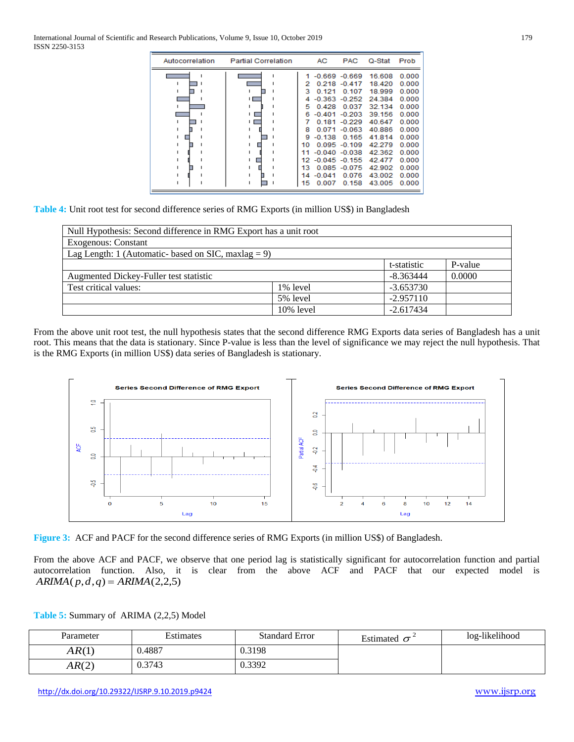| Autocorrelation | <b>Partial Correlation</b> |     | AC               | <b>PAC</b>       | Q-Stat | Prob  |
|-----------------|----------------------------|-----|------------------|------------------|--------|-------|
|                 |                            |     |                  | $-0.669 - 0.669$ | 16.608 | 0.000 |
|                 |                            | 2   |                  | $0.218 - 0.417$  | 18.420 | 0.000 |
|                 |                            | ٩   | 0.121            | 0.107            | 18.999 | 0.000 |
|                 |                            | 4   |                  | $-0.363 - 0.252$ | 24.384 | 0.000 |
|                 |                            | 5   | 0.428            | 0.037            | 32.134 | 0.000 |
|                 |                            | 6   |                  | $-0.401 - 0.203$ | 39.156 | 0.000 |
|                 |                            |     |                  | $0.181 - 0.229$  | 40.647 | 0.000 |
|                 |                            | 8   |                  | $0.071 - 0.063$  | 40.886 | 0.000 |
|                 |                            | ۰   | $-0.138$         | 0.165            | 41.814 | 0.000 |
|                 |                            | 10  |                  | $0.095 - 0.109$  | 42.279 | 0.000 |
|                 |                            |     |                  | $-0.040 - 0.038$ | 42.362 | 0.000 |
|                 |                            |     | 12 -0.045 -0.155 |                  | 42477  | 0.000 |
|                 |                            | 13. |                  | $0.085 - 0.075$  | 42.902 | 0.000 |
|                 |                            | 14  | $-0.041$         | 0.076            | 43.002 | 0.000 |
|                 |                            | 15  | 0.007            | 0.158            | 43.005 | 0.000 |

**Table 4:** Unit root test for second difference series of RMG Exports (in million US\$) in Bangladesh

| Null Hypothesis: Second difference in RMG Export has a unit root |              |             |         |  |  |  |
|------------------------------------------------------------------|--------------|-------------|---------|--|--|--|
| <b>Exogenous: Constant</b>                                       |              |             |         |  |  |  |
| Lag Length: 1 (Automatic- based on SIC, maxlag $= 9$ )           |              |             |         |  |  |  |
|                                                                  |              | t-statistic | P-value |  |  |  |
| Augmented Dickey-Fuller test statistic                           |              | $-8.363444$ | 0.0000  |  |  |  |
| Test critical values:                                            | 1% level     | $-3.653730$ |         |  |  |  |
|                                                                  | 5% level     | $-2.957110$ |         |  |  |  |
|                                                                  | $10\%$ level | $-2.617434$ |         |  |  |  |

From the above unit root test, the null hypothesis states that the second difference RMG Exports data series of Bangladesh has a unit root. This means that the data is stationary. Since P-value is less than the level of significance we may reject the null hypothesis. That is the RMG Exports (in million US\$) data series of Bangladesh is stationary.



**Figure 3:** ACF and PACF for the second difference series of RMG Exports (in million US\$) of Bangladesh.

From the above ACF and PACF, we observe that one period lag is statistically significant for autocorrelation function and partial autocorrelation function. Also, it is clear from the above ACF and PACF that our expected model is  $ARIMA(p,d,q) = ARIMA(2,2,5)$ 

**Table 5:** Summary of ARIMA (2,2,5) Model

| Parameter | Estimates | <b>Standard Error</b> | Estimated $\sigma$ | log-likelihood |
|-----------|-----------|-----------------------|--------------------|----------------|
| AR(1)     | 0.4887    | 0.3198                |                    |                |
| AR(2)     | 0.3743    | 0.3392                |                    |                |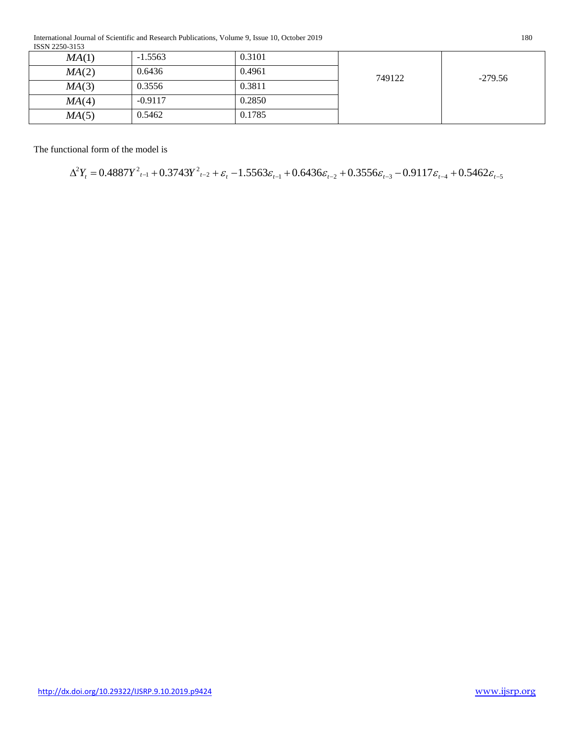International Journal of Scientific and Research Publications, Volume 9, Issue 10, October 2019 180 ISSN 2250-3153

| MA(1)                                                 | $-1.5563$ | 0.3101                                                                                                                                                                                                      |        |               |
|-------------------------------------------------------|-----------|-------------------------------------------------------------------------------------------------------------------------------------------------------------------------------------------------------------|--------|---------------|
| MA(2)                                                 | 0.6436    | 0.4961                                                                                                                                                                                                      |        |               |
| MA(3)                                                 | 0.3556    | 0.3811                                                                                                                                                                                                      | 749122 | $-279.56$     |
|                                                       | $-0.9117$ | 0.2850                                                                                                                                                                                                      |        |               |
|                                                       | 0.5462    | 0.1785                                                                                                                                                                                                      |        |               |
| MA(4)<br>MA(5)<br>The functional form of the model is |           | $\Delta^2 Y_t = 0.4887 Y_{t-1}^2 + 0.3743 Y_{t-2}^2 + \varepsilon_t - 1.5563 \varepsilon_{t-1} + 0.6436 \varepsilon_{t-2} + 0.3556 \varepsilon_{t-3} - 0.9117 \varepsilon_{t-4} + 0.5462 \varepsilon_{t-5}$ |        |               |
|                                                       |           |                                                                                                                                                                                                             |        |               |
|                                                       |           |                                                                                                                                                                                                             |        |               |
| http://dx.doi.org/10.29322/IJSRP.9.10.2019.p9424      |           |                                                                                                                                                                                                             |        | www.ijsrp.org |

$$
\Delta^2 Y_t = 0.4887Y_{t-1}^2 + 0.3743Y_{t-2}^2 + \varepsilon_t - 1.5563\varepsilon_{t-1} + 0.6436\varepsilon_{t-2} + 0.3556\varepsilon_{t-3} - 0.9117\varepsilon_{t-4} + 0.5462\varepsilon_{t-5}
$$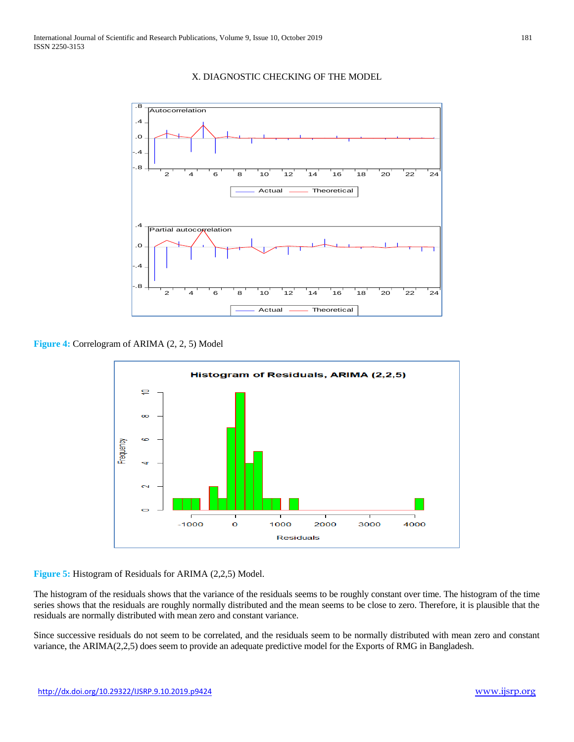

### X. DIAGNOSTIC CHECKING OF THE MODEL

**Figure 4:** Correlogram of ARIMA (2, 2, 5) Model



**Figure 5:** Histogram of Residuals for ARIMA (2,2,5) Model.

The histogram of the residuals shows that the variance of the residuals seems to be roughly constant over time. The histogram of the time series shows that the residuals are roughly normally distributed and the mean seems to be close to zero. Therefore, it is plausible that the residuals are normally distributed with mean zero and constant variance.

Since successive residuals do not seem to be correlated, and the residuals seem to be normally distributed with mean zero and constant variance, the ARIMA(2,2,5) does seem to provide an adequate predictive model for the Exports of RMG in Bangladesh.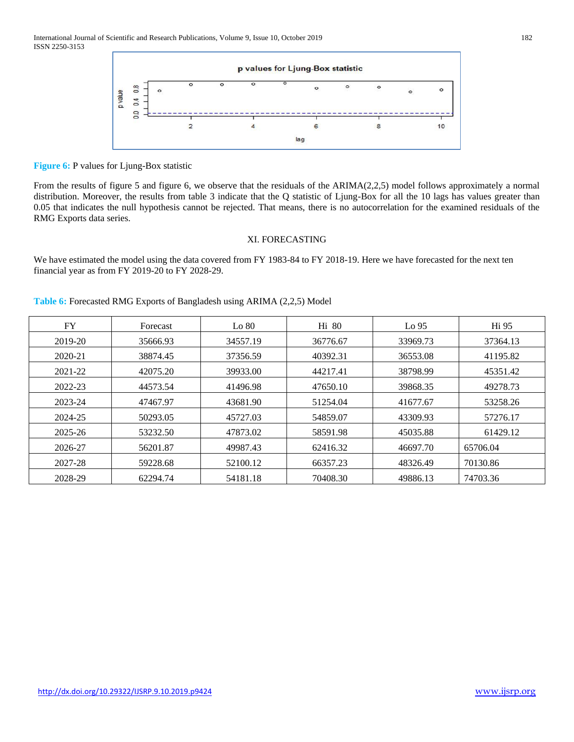

**Figure 6:** P values for Ljung-Box statistic

From the results of figure 5 and figure 6, we observe that the residuals of the ARIMA(2,2,5) model follows approximately a normal distribution. Moreover, the results from table 3 indicate that the Q statistic of Ljung-Box for all the 10 lags has values greater than 0.05 that indicates the null hypothesis cannot be rejected. That means, there is no autocorrelation for the examined residuals of the RMG Exports data series.

### XI. FORECASTING

We have estimated the model using the data covered from FY 1983-84 to FY 2018-19. Here we have forecasted for the next ten financial year as from FY 2019-20 to FY 2028-29.

## **Table 6:** Forecasted RMG Exports of Bangladesh using ARIMA (2,2,5) Model

| FY      | Forecast | Lo 80    | Hi 80    | Lo 95    | H <sub>i</sub> 95 |
|---------|----------|----------|----------|----------|-------------------|
| 2019-20 | 35666.93 | 34557.19 | 36776.67 | 33969.73 | 37364.13          |
| 2020-21 | 38874.45 | 37356.59 | 40392.31 | 36553.08 | 41195.82          |
| 2021-22 | 42075.20 | 39933.00 | 44217.41 | 38798.99 | 45351.42          |
| 2022-23 | 44573.54 | 41496.98 | 47650.10 | 39868.35 | 49278.73          |
| 2023-24 | 47467.97 | 43681.90 | 51254.04 | 41677.67 | 53258.26          |
| 2024-25 | 50293.05 | 45727.03 | 54859.07 | 43309.93 | 57276.17          |
| 2025-26 | 53232.50 | 47873.02 | 58591.98 | 45035.88 | 61429.12          |
| 2026-27 | 56201.87 | 49987.43 | 62416.32 | 46697.70 | 65706.04          |
| 2027-28 | 59228.68 | 52100.12 | 66357.23 | 48326.49 | 70130.86          |
| 2028-29 | 62294.74 | 54181.18 | 70408.30 | 49886.13 | 74703.36          |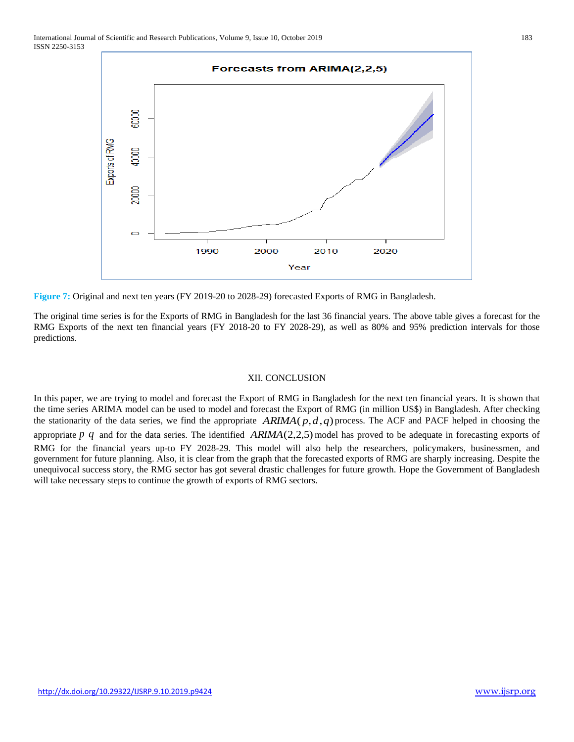

**Figure 7:** Original and next ten years (FY 2019-20 to 2028-29) forecasted Exports of RMG in Bangladesh.

The original time series is for the Exports of RMG in Bangladesh for the last 36 financial years. The above table gives a forecast for the RMG Exports of the next ten financial years (FY 2018-20 to FY 2028-29), as well as 80% and 95% prediction intervals for those predictions.

### XII. CONCLUSION

In this paper, we are trying to model and forecast the Export of RMG in Bangladesh for the next ten financial years. It is shown that the time series ARIMA model can be used to model and forecast the Export of RMG (in million US\$) in Bangladesh. After checking the stationarity of the data series, we find the appropriate  $ARIMA(p,d,q)$  process. The ACF and PACF helped in choosing the appropriate p q and for the data series. The identified  $ARIMA(2,2,5)$  model has proved to be adequate in forecasting exports of RMG for the financial years up-to FY 2028-29. This model will also help the researchers, policymakers, businessmen, and government for future planning. Also, it is clear from the graph that the forecasted exports of RMG are sharply increasing. Despite the unequivocal success story, the RMG sector has got several drastic challenges for future growth. Hope the Government of Bangladesh will take necessary steps to continue the growth of exports of RMG sectors.